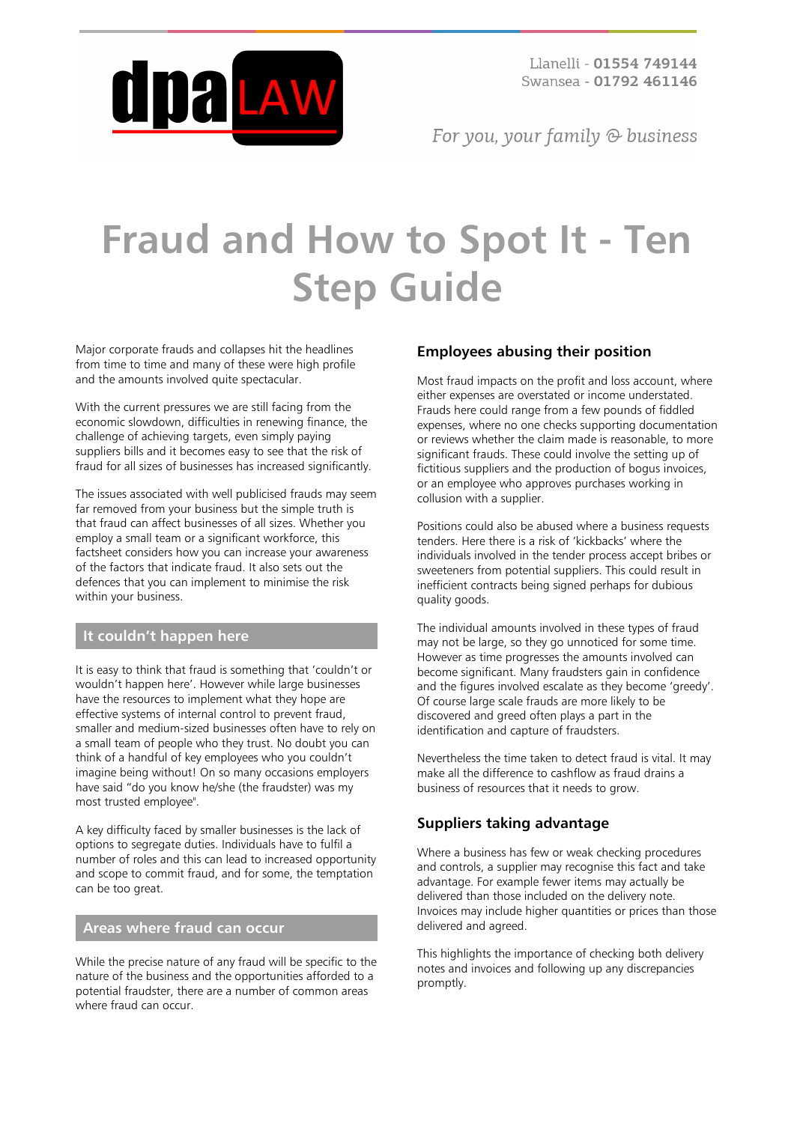

For you, your family  $\odot$  business

# **Fraud and How to Spot It - Ten Step Guide**

Major corporate frauds and collapses hit the headlines from time to time and many of these were high profile and the amounts involved quite spectacular.

With the current pressures we are still facing from the economic slowdown, difficulties in renewing finance, the challenge of achieving targets, even simply paying suppliers bills and it becomes easy to see that the risk of fraud for all sizes of businesses has increased significantly.

The issues associated with well publicised frauds may seem far removed from your business but the simple truth is that fraud can affect businesses of all sizes. Whether you employ a small team or a significant workforce, this factsheet considers how you can increase your awareness of the factors that indicate fraud. It also sets out the defences that you can implement to minimise the risk within your business.

## **It couldn't happen here**

It is easy to think that fraud is something that 'couldn't or wouldn't happen here'. However while large businesses have the resources to implement what they hope are effective systems of internal control to prevent fraud, smaller and medium-sized businesses often have to rely on a small team of people who they trust. No doubt you can think of a handful of key employees who you couldn't imagine being without! On so many occasions employers have said "do you know he/she (the fraudster) was my most trusted employee".

A key difficulty faced by smaller businesses is the lack of options to segregate duties. Individuals have to fulfil a number of roles and this can lead to increased opportunity and scope to commit fraud, and for some, the temptation can be too great.

#### **Areas where fraud can occur**

While the precise nature of any fraud will be specific to the nature of the business and the opportunities afforded to a potential fraudster, there are a number of common areas where fraud can occur.

## **Employees abusing their position**

Most fraud impacts on the profit and loss account, where either expenses are overstated or income understated. Frauds here could range from a few pounds of fiddled expenses, where no one checks supporting documentation or reviews whether the claim made is reasonable, to more significant frauds. These could involve the setting up of fictitious suppliers and the production of bogus invoices, or an employee who approves purchases working in collusion with a supplier.

Positions could also be abused where a business requests tenders. Here there is a risk of 'kickbacks' where the individuals involved in the tender process accept bribes or sweeteners from potential suppliers. This could result in inefficient contracts being signed perhaps for dubious quality goods.

The individual amounts involved in these types of fraud may not be large, so they go unnoticed for some time. However as time progresses the amounts involved can become significant. Many fraudsters gain in confidence and the figures involved escalate as they become 'greedy'. Of course large scale frauds are more likely to be discovered and greed often plays a part in the identification and capture of fraudsters.

Nevertheless the time taken to detect fraud is vital. It may make all the difference to cashflow as fraud drains a business of resources that it needs to grow.

## **Suppliers taking advantage**

Where a business has few or weak checking procedures and controls, a supplier may recognise this fact and take advantage. For example fewer items may actually be delivered than those included on the delivery note. Invoices may include higher quantities or prices than those delivered and agreed.

This highlights the importance of checking both delivery notes and invoices and following up any discrepancies promptly.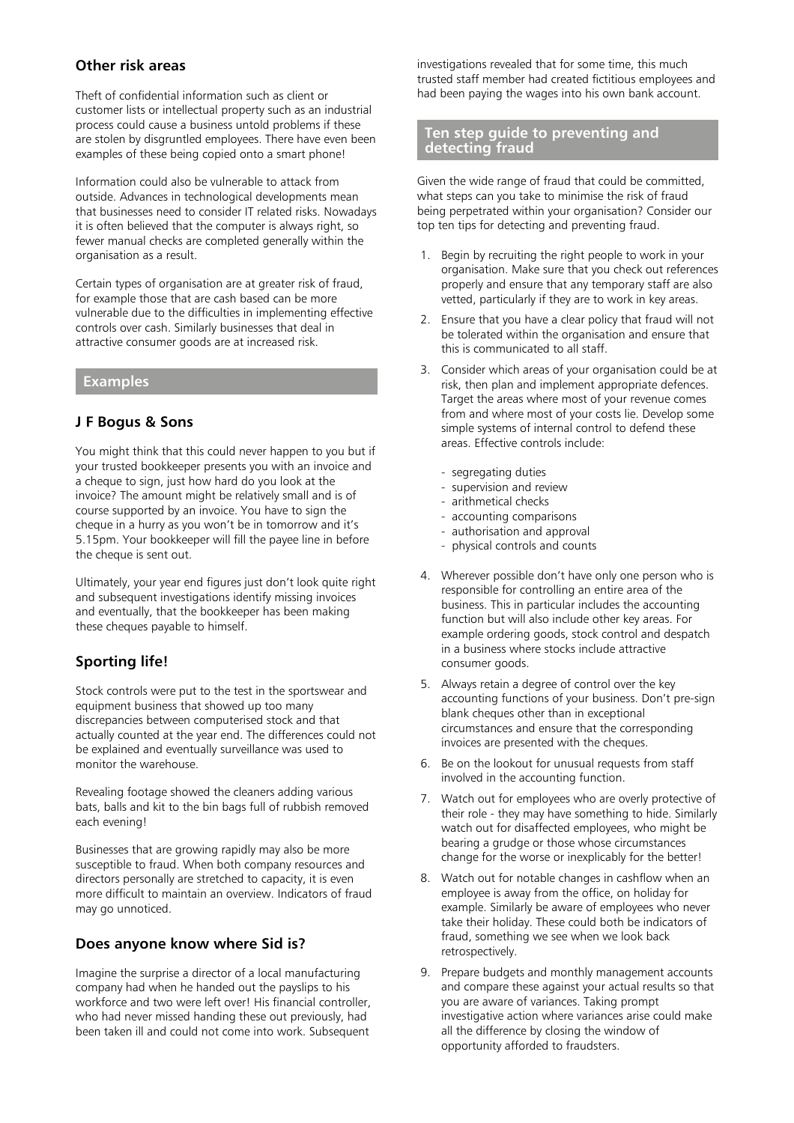## **Other risk areas**

Theft of confidential information such as client or customer lists or intellectual property such as an industrial process could cause a business untold problems if these are stolen by disgruntled employees. There have even been examples of these being copied onto a smart phone!

Information could also be vulnerable to attack from outside. Advances in technological developments mean that businesses need to consider IT related risks. Nowadays it is often believed that the computer is always right, so fewer manual checks are completed generally within the organisation as a result.

Certain types of organisation are at greater risk of fraud, for example those that are cash based can be more vulnerable due to the difficulties in implementing effective controls over cash. Similarly businesses that deal in attractive consumer goods are at increased risk.

#### **Examples**

## **J F Bogus & Sons**

You might think that this could never happen to you but if your trusted bookkeeper presents you with an invoice and a cheque to sign, just how hard do you look at the invoice? The amount might be relatively small and is of course supported by an invoice. You have to sign the cheque in a hurry as you won't be in tomorrow and it's 5.15pm. Your bookkeeper will fill the payee line in before the cheque is sent out.

Ultimately, your year end figures just don't look quite right and subsequent investigations identify missing invoices and eventually, that the bookkeeper has been making these cheques payable to himself.

## **Sporting life!**

Stock controls were put to the test in the sportswear and equipment business that showed up too many discrepancies between computerised stock and that actually counted at the year end. The differences could not be explained and eventually surveillance was used to monitor the warehouse.

Revealing footage showed the cleaners adding various bats, balls and kit to the bin bags full of rubbish removed each evening!

Businesses that are growing rapidly may also be more susceptible to fraud. When both company resources and directors personally are stretched to capacity, it is even more difficult to maintain an overview. Indicators of fraud may go unnoticed.

## **Does anyone know where Sid is?**

Imagine the surprise a director of a local manufacturing company had when he handed out the payslips to his workforce and two were left over! His financial controller, who had never missed handing these out previously, had been taken ill and could not come into work. Subsequent investigations revealed that for some time, this much trusted staff member had created fictitious employees and had been paying the wages into his own bank account.

#### **Ten step guide to preventing and detecting fraud**

Given the wide range of fraud that could be committed, what steps can you take to minimise the risk of fraud being perpetrated within your organisation? Consider our top ten tips for detecting and preventing fraud.

- 1. Begin by recruiting the right people to work in your organisation. Make sure that you check out references properly and ensure that any temporary staff are also vetted, particularly if they are to work in key areas.
- 2. Ensure that you have a clear policy that fraud will not be tolerated within the organisation and ensure that this is communicated to all staff.
- 3. Consider which areas of your organisation could be at risk, then plan and implement appropriate defences. Target the areas where most of your revenue comes from and where most of your costs lie. Develop some simple systems of internal control to defend these areas. Effective controls include:
	- segregating duties
	- supervision and review
	- arithmetical checks
	- accounting comparisons
	- authorisation and approval
	- physical controls and counts
- 4. Wherever possible don't have only one person who is responsible for controlling an entire area of the business. This in particular includes the accounting function but will also include other key areas. For example ordering goods, stock control and despatch in a business where stocks include attractive consumer goods.
- 5. Always retain a degree of control over the key accounting functions of your business. Don't pre-sign blank cheques other than in exceptional circumstances and ensure that the corresponding invoices are presented with the cheques.
- 6. Be on the lookout for unusual requests from staff involved in the accounting function.
- 7. Watch out for employees who are overly protective of their role - they may have something to hide. Similarly watch out for disaffected employees, who might be bearing a grudge or those whose circumstances change for the worse or inexplicably for the better!
- 8. Watch out for notable changes in cashflow when an employee is away from the office, on holiday for example. Similarly be aware of employees who never take their holiday. These could both be indicators of fraud, something we see when we look back retrospectively.
- 9. Prepare budgets and monthly management accounts and compare these against your actual results so that you are aware of variances. Taking prompt investigative action where variances arise could make all the difference by closing the window of opportunity afforded to fraudsters.